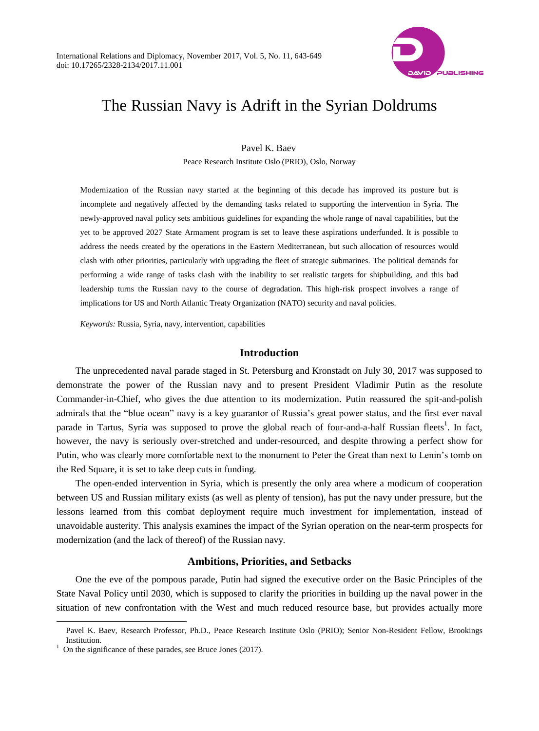

# The Russian Navy is Adrift in the Syrian Doldrums

Pavel K. Baev Peace Research Institute Oslo (PRIO), Oslo, Norway

Modernization of the Russian navy started at the beginning of this decade has improved its posture but is incomplete and negatively affected by the demanding tasks related to supporting the intervention in Syria. The newly-approved naval policy sets ambitious guidelines for expanding the whole range of naval capabilities, but the yet to be approved 2027 State Armament program is set to leave these aspirations underfunded. It is possible to address the needs created by the operations in the Eastern Mediterranean, but such allocation of resources would clash with other priorities, particularly with upgrading the fleet of strategic submarines. The political demands for performing a wide range of tasks clash with the inability to set realistic targets for shipbuilding, and this bad leadership turns the Russian navy to the course of degradation. This high-risk prospect involves a range of implications for US and North Atlantic Treaty Organization (NATO) security and naval policies.

*Keywords:* Russia, Syria, navy, intervention, capabilities

## **Introduction**

The unprecedented naval parade staged in St. Petersburg and Kronstadt on July 30, 2017 was supposed to demonstrate the power of the Russian navy and to present President Vladimir Putin as the resolute Commander-in-Chief, who gives the due attention to its modernization. Putin reassured the spit-and-polish admirals that the "blue ocean" navy is a key guarantor of Russia's great power status, and the first ever naval parade in Tartus, Syria was supposed to prove the global reach of four-and-a-half Russian fleets<sup>1</sup>. In fact, however, the navy is seriously over-stretched and under-resourced, and despite throwing a perfect show for Putin, who was clearly more comfortable next to the monument to Peter the Great than next to Lenin's tomb on the Red Square, it is set to take deep cuts in funding.

The open-ended intervention in Syria, which is presently the only area where a modicum of cooperation between US and Russian military exists (as well as plenty of tension), has put the navy under pressure, but the lessons learned from this combat deployment require much investment for implementation, instead of unavoidable austerity. This analysis examines the impact of the Syrian operation on the near-term prospects for modernization (and the lack of thereof) of the Russian navy.

## **Ambitions, Priorities, and Setbacks**

One the eve of the pompous parade, Putin had signed the executive order on the Basic Principles of the State Naval Policy until 2030, which is supposed to clarify the priorities in building up the naval power in the situation of new confrontation with the West and much reduced resource base, but provides actually more

Pavel K. Baev, Research Professor, Ph.D., Peace Research Institute Oslo (PRIO); Senior Non-Resident Fellow, Brookings Institution.

 $1$  On the significance of these parades, see Bruce Jones (2017).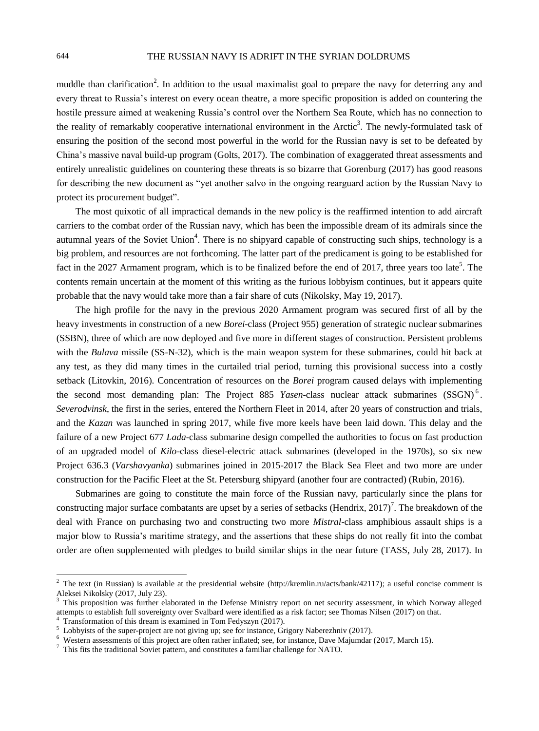muddle than clarification<sup>2</sup>. In addition to the usual maximalist goal to prepare the navy for deterring any and every threat to Russia's interest on every ocean theatre, a more specific proposition is added on countering the hostile pressure aimed at weakening Russia's control over the Northern Sea Route, which has no connection to the reality of remarkably cooperative international environment in the Arctic<sup>3</sup>. The newly-formulated task of ensuring the position of the second most powerful in the world for the Russian navy is set to be defeated by China's massive naval build-up program (Golts, 2017). The combination of exaggerated threat assessments and entirely unrealistic guidelines on countering these threats is so bizarre that Gorenburg (2017) has good reasons for describing the new document as "yet another salvo in the ongoing rearguard action by the Russian Navy to protect its procurement budget".

The most quixotic of all impractical demands in the new policy is the reaffirmed intention to add aircraft carriers to the combat order of the Russian navy, which has been the impossible dream of its admirals since the autumnal years of the Soviet Union<sup>4</sup>. There is no shipyard capable of constructing such ships, technology is a big problem, and resources are not forthcoming. The latter part of the predicament is going to be established for fact in the 2027 Armament program, which is to be finalized before the end of 2017, three years too late<sup>5</sup>. The contents remain uncertain at the moment of this writing as the furious lobbyism continues, but it appears quite probable that the navy would take more than a fair share of cuts (Nikolsky, May 19, 2017).

The high profile for the navy in the previous 2020 Armament program was secured first of all by the heavy investments in construction of a new *Borei*-class (Project 955) generation of strategic nuclear submarines (SSBN), three of which are now deployed and five more in different stages of construction. Persistent problems with the *Bulava* missile (SS-N-32), which is the main weapon system for these submarines, could hit back at any test, as they did many times in the curtailed trial period, turning this provisional success into a costly setback (Litovkin, 2016). Concentration of resources on the *Borei* program caused delays with implementing the second most demanding plan: The Project 885 *Yasen*-class nuclear attack submarines (SSGN)<sup>6</sup>. *Severodvinsk*, the first in the series, entered the Northern Fleet in 2014, after 20 years of construction and trials, and the *Kazan* was launched in spring 2017, while five more keels have been laid down. This delay and the failure of a new Project 677 *Lada*-class submarine design compelled the authorities to focus on fast production of an upgraded model of *Kilo*-class diesel-electric attack submarines (developed in the 1970s), so six new Project 636.3 (*Varshavyanka*) submarines joined in 2015-2017 the Black Sea Fleet and two more are under construction for the Pacific Fleet at the St. Petersburg shipyard (another four are contracted) (Rubin, 2016).

Submarines are going to constitute the main force of the Russian navy, particularly since the plans for constructing major surface combatants are upset by a series of setbacks (Hendrix, 2017)<sup>7</sup>. The breakdown of the deal with France on purchasing two and constructing two more *Mistral*-class amphibious assault ships is a major blow to Russia's maritime strategy, and the assertions that these ships do not really fit into the combat order are often supplemented with pledges to build similar ships in the near future (TASS, July 28, 2017). In

<sup>&</sup>lt;sup>2</sup> The text (in Russian) is available at the presidential website [\(http://kremlin.ru/acts/bank/42117\)](http://kremlin.ru/acts/bank/42117); a useful concise comment is Aleksei Nikolsky (2017, July 23).

<sup>3</sup> This proposition was further elaborated in the Defense Ministry report on net security assessment, in which Norway alleged attempts to establish full sovereignty over Svalbard were identified as a risk factor; see Thomas Nilsen (2017) on that.

 $4$  Transformation of this dream is examined in Tom Fedyszyn (2017).

<sup>&</sup>lt;sup>5</sup> Lobbyists of the super-project are not giving up; see for instance, Grigory Naberezhniv (2017).

Western assessments of this project are often rather inflated; see, for instance, Dave Majumdar (2017, March 15).

<sup>7</sup> This fits the traditional Soviet pattern, and constitutes a familiar challenge for NATO.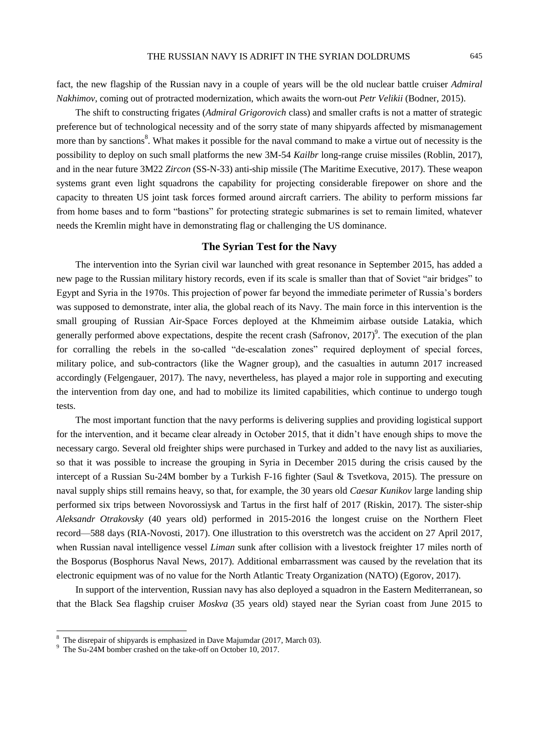fact, the new flagship of the Russian navy in a couple of years will be the old nuclear battle cruiser *Admiral Nakhimov*, coming out of protracted modernization, which awaits the worn-out *Petr Velikii* (Bodner, 2015).

The shift to constructing frigates (*Admiral Grigorovich* class) and smaller crafts is not a matter of strategic preference but of technological necessity and of the sorry state of many shipyards affected by mismanagement more than by sanctions<sup>8</sup>. What makes it possible for the naval command to make a virtue out of necessity is the possibility to deploy on such small platforms the new 3M-54 *Kailbr* long-range cruise missiles (Roblin, 2017), and in the near future 3M22 *Zircon* (SS-N-33) anti-ship missile (The Maritime Executive, 2017). These weapon systems grant even light squadrons the capability for projecting considerable firepower on shore and the capacity to threaten US joint task forces formed around aircraft carriers. The ability to perform missions far from home bases and to form "bastions" for protecting strategic submarines is set to remain limited, whatever needs the Kremlin might have in demonstrating flag or challenging the US dominance.

# **The Syrian Test for the Navy**

The intervention into the Syrian civil war launched with great resonance in September 2015, has added a new page to the Russian military history records, even if its scale is smaller than that of Soviet "air bridges" to Egypt and Syria in the 1970s. This projection of power far beyond the immediate perimeter of Russia's borders was supposed to demonstrate, inter alia, the global reach of its Navy. The main force in this intervention is the small grouping of Russian Air-Space Forces deployed at the Khmeimim airbase outside Latakia, which generally performed above expectations, despite the recent crash (Safronov,  $2017$ )<sup>9</sup>. The execution of the plan for corralling the rebels in the so-called "de-escalation zones" required deployment of special forces, military police, and sub-contractors (like the Wagner group), and the casualties in autumn 2017 increased accordingly (Felgengauer, 2017). The navy, nevertheless, has played a major role in supporting and executing the intervention from day one, and had to mobilize its limited capabilities, which continue to undergo tough tests.

The most important function that the navy performs is delivering supplies and providing logistical support for the intervention, and it became clear already in October 2015, that it didn't have enough ships to move the necessary cargo. Several old freighter ships were purchased in Turkey and added to the navy list as auxiliaries, so that it was possible to increase the grouping in Syria in December 2015 during the crisis caused by the intercept of a Russian Su-24M bomber by a Turkish F-16 fighter (Saul & Tsvetkova, 2015). The pressure on naval supply ships still remains heavy, so that, for example, the 30 years old *Caesar Kunikov* large landing ship performed six trips between Novorossiysk and Tartus in the first half of 2017 (Riskin, 2017). The sister-ship *Aleksandr Otrakovsky* (40 years old) performed in 2015-2016 the longest cruise on the Northern Fleet record—588 days (RIA-Novosti, 2017). One illustration to this overstretch was the accident on 27 April 2017, when Russian naval intelligence vessel *Liman* sunk after collision with a livestock freighter 17 miles north of the Bosporus (Bosphorus Naval News, 2017). Additional embarrassment was caused by the revelation that its electronic equipment was of no value for the North Atlantic Treaty Organization (NATO) (Egorov, 2017).

In support of the intervention, Russian navy has also deployed a squadron in the Eastern Mediterranean, so that the Black Sea flagship cruiser *Moskva* (35 years old) stayed near the Syrian coast from June 2015 to

<sup>8</sup> The disrepair of shipyards is emphasized in Dave Majumdar (2017, March 03).

The Su-24M bomber crashed on the take-off on October 10, 2017.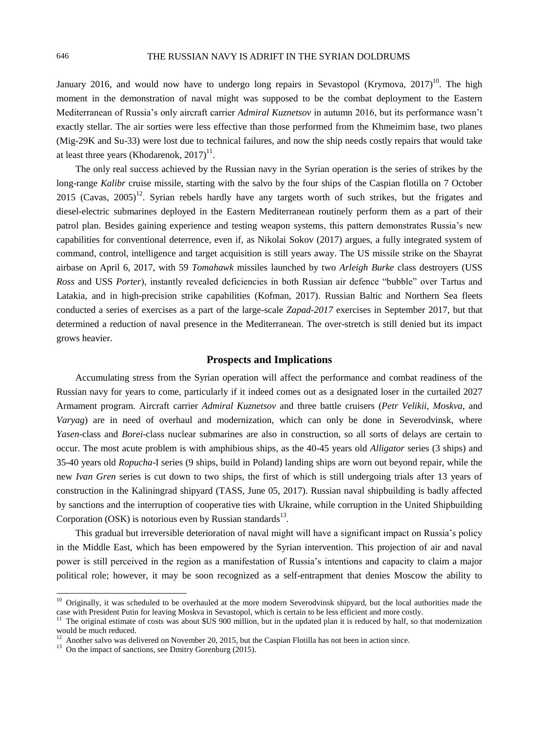January 2016, and would now have to undergo long repairs in Sevastopol (Krymova, 2017)<sup>10</sup>. The high moment in the demonstration of naval might was supposed to be the combat deployment to the Eastern Mediterranean of Russia's only aircraft carrier *Admiral Kuznetsov* in autumn 2016, but its performance wasn't exactly stellar. The air sorties were less effective than those performed from the Khmeimim base, two planes (Mig-29K and Su-33) were lost due to technical failures, and now the ship needs costly repairs that would take at least three years (Khodarenok,  $2017$ ) $^{11}$ .

The only real success achieved by the Russian navy in the Syrian operation is the series of strikes by the long-range *Kalibr* cruise missile, starting with the salvo by the four ships of the Caspian flotilla on 7 October 2015 (Cavas, 2005)<sup>12</sup>. Syrian rebels hardly have any targets worth of such strikes, but the frigates and diesel-electric submarines deployed in the Eastern Mediterranean routinely perform them as a part of their patrol plan. Besides gaining experience and testing weapon systems, this pattern demonstrates Russia's new capabilities for conventional deterrence, even if, as Nikolai Sokov (2017) argues, a fully integrated system of command, control, intelligence and target acquisition is still years away. The US missile strike on the Shayrat airbase on April 6, 2017, with 59 *Tomahawk* missiles launched by two *Arleigh Burke* class destroyers (USS *Ross* and USS *Porter*), instantly revealed deficiencies in both Russian air defence "bubble" over Tartus and Latakia, and in high-precision strike capabilities (Kofman, 2017). Russian Baltic and Northern Sea fleets conducted a series of exercises as a part of the large-scale *Zapad-2017* exercises in September 2017, but that determined a reduction of naval presence in the Mediterranean. The over-stretch is still denied but its impact grows heavier.

## **Prospects and Implications**

Accumulating stress from the Syrian operation will affect the performance and combat readiness of the Russian navy for years to come, particularly if it indeed comes out as a designated loser in the curtailed 2027 Armament program. Aircraft carrier *Admiral Kuznetsov* and three battle cruisers (*Petr Velikii*, *Moskva*, and *Varyag*) are in need of overhaul and modernization, which can only be done in Severodvinsk, where *Yasen*-class and *Borei*-class nuclear submarines are also in construction, so all sorts of delays are certain to occur. The most acute problem is with amphibious ships, as the 40-45 years old *Alligator* series (3 ships) and 35-40 years old *Ropucha*-I series (9 ships, build in Poland) landing ships are worn out beyond repair, while the new *Ivan Gren* series is cut down to two ships, the first of which is still undergoing trials after 13 years of construction in the Kaliningrad shipyard (TASS, June 05, 2017). Russian naval shipbuilding is badly affected by sanctions and the interruption of cooperative ties with Ukraine, while corruption in the United Shipbuilding Corporation (OSK) is notorious even by Russian standards $^{13}$ .

This gradual but irreversible deterioration of naval might will have a significant impact on Russia's policy in the Middle East, which has been empowered by the Syrian intervention. This projection of air and naval power is still perceived in the region as a manifestation of Russia's intentions and capacity to claim a major political role; however, it may be soon recognized as a self-entrapment that denies Moscow the ability to

<sup>&</sup>lt;sup>10</sup> Originally, it was scheduled to be overhauled at the more modern Severodvinsk shipyard, but the local authorities made the case with President Putin for leaving Moskva in Sevastopol, which is certain to be less efficient and more costly.

<sup>&</sup>lt;sup>11</sup> The original estimate of costs was about \$US 900 million, but in the updated plan it is reduced by half, so that modernization would be much reduced.

<sup>&</sup>lt;sup>12</sup> Another salvo was delivered on November 20, 2015, but the Caspian Flotilla has not been in action since.

<sup>&</sup>lt;sup>13</sup> On the impact of sanctions, see Dmitry Gorenburg (2015).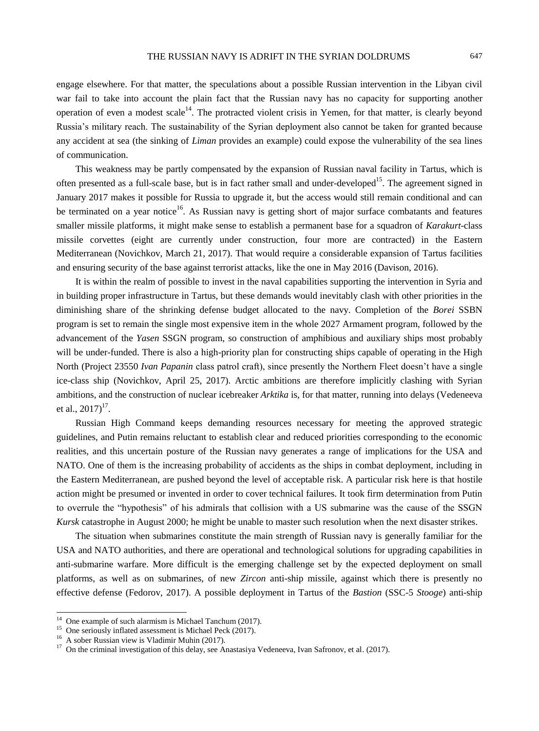engage elsewhere. For that matter, the speculations about a possible Russian intervention in the Libyan civil war fail to take into account the plain fact that the Russian navy has no capacity for supporting another operation of even a modest scale<sup>14</sup>. The protracted violent crisis in Yemen, for that matter, is clearly beyond Russia's military reach. The sustainability of the Syrian deployment also cannot be taken for granted because any accident at sea (the sinking of *Liman* provides an example) could expose the vulnerability of the sea lines of communication.

This weakness may be partly compensated by the expansion of Russian naval facility in Tartus, which is often presented as a full-scale base, but is in fact rather small and under-developed<sup>15</sup>. The agreement signed in January 2017 makes it possible for Russia to upgrade it, but the access would still remain conditional and can be terminated on a year notice<sup>16</sup>. As Russian navy is getting short of major surface combatants and features smaller missile platforms, it might make sense to establish a permanent base for a squadron of *Karakurt*-class missile corvettes (eight are currently under construction, four more are contracted) in the Eastern Mediterranean (Novichkov, March 21, 2017). That would require a considerable expansion of Tartus facilities and ensuring security of the base against terrorist attacks, like the one in May 2016 (Davison, 2016).

It is within the realm of possible to invest in the naval capabilities supporting the intervention in Syria and in building proper infrastructure in Tartus, but these demands would inevitably clash with other priorities in the diminishing share of the shrinking defense budget allocated to the navy. Completion of the *Borei* SSBN program is set to remain the single most expensive item in the whole 2027 Armament program, followed by the advancement of the *Yasen* SSGN program, so construction of amphibious and auxiliary ships most probably will be under-funded. There is also a high-priority plan for constructing ships capable of operating in the High North (Project 23550 *Ivan Papanin* class patrol craft), since presently the Northern Fleet doesn't have a single ice-class ship (Novichkov, April 25, 2017). Arctic ambitions are therefore implicitly clashing with Syrian ambitions, and the construction of nuclear icebreaker *Arktika* is, for that matter, running into delays (Vedeneeva et al.,  $2017$ <sup>17</sup>.

Russian High Command keeps demanding resources necessary for meeting the approved strategic guidelines, and Putin remains reluctant to establish clear and reduced priorities corresponding to the economic realities, and this uncertain posture of the Russian navy generates a range of implications for the USA and NATO. One of them is the increasing probability of accidents as the ships in combat deployment, including in the Eastern Mediterranean, are pushed beyond the level of acceptable risk. A particular risk here is that hostile action might be presumed or invented in order to cover technical failures. It took firm determination from Putin to overrule the "hypothesis" of his admirals that collision with a US submarine was the cause of the SSGN *Kursk* catastrophe in August 2000; he might be unable to master such resolution when the next disaster strikes.

The situation when submarines constitute the main strength of Russian navy is generally familiar for the USA and NATO authorities, and there are operational and technological solutions for upgrading capabilities in anti-submarine warfare. More difficult is the emerging challenge set by the expected deployment on small platforms, as well as on submarines, of new *Zircon* anti-ship missile, against which there is presently no effective defense (Fedorov, 2017). A possible deployment in Tartus of the *Bastion* (SSC-5 *Stooge*) anti-ship

<sup>&</sup>lt;sup>14</sup> One example of such alarmism is Michael Tanchum (2017).

<sup>&</sup>lt;sup>15</sup> One seriously inflated assessment is Michael Peck (2017).

<sup>16</sup> A sober Russian view is Vladimir Muhin (2017).

<sup>&</sup>lt;sup>17</sup> On the criminal investigation of this delay, see Anastasiya Vedeneeva, Ivan Safronov, et al. (2017).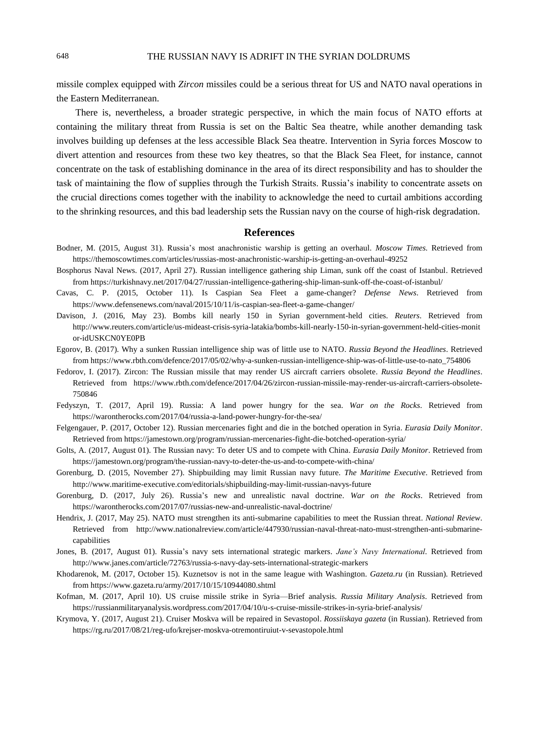#### 648 THE RUSSIAN NAVY IS ADRIFT IN THE SYRIAN DOLDRUMS

missile complex equipped with *Zircon* missiles could be a serious threat for US and NATO naval operations in the Eastern Mediterranean.

There is, nevertheless, a broader strategic perspective, in which the main focus of NATO efforts at containing the military threat from Russia is set on the Baltic Sea theatre, while another demanding task involves building up defenses at the less accessible Black Sea theatre. Intervention in Syria forces Moscow to divert attention and resources from these two key theatres, so that the Black Sea Fleet, for instance, cannot concentrate on the task of establishing dominance in the area of its direct responsibility and has to shoulder the task of maintaining the flow of supplies through the Turkish Straits. Russia's inability to concentrate assets on the crucial directions comes together with the inability to acknowledge the need to curtail ambitions according to the shrinking resources, and this bad leadership sets the Russian navy on the course of high-risk degradation.

#### **References**

- Bodner, M. (2015, August 31). Russia's most anachronistic warship is getting an overhaul. *Moscow Times*. Retrieved from <https://themoscowtimes.com/articles/russias-most-anachronistic-warship-is-getting-an-overhaul-49252>
- Bosphorus Naval News. (2017, April 27). Russian intelligence gathering ship Liman, sunk off the coast of Istanbul. Retrieved from<https://turkishnavy.net/2017/04/27/russian-intelligence-gathering-ship-liman-sunk-off-the-coast-of-istanbul/>
- Cavas, C. P. (2015, October 11). Is Caspian Sea Fleet a game-changer? *Defense News*. Retrieved from <https://www.defensenews.com/naval/2015/10/11/is-caspian-sea-fleet-a-game-changer/>
- Davison, J. (2016, May 23). Bombs kill nearly 150 in Syrian government-held cities. *Reuters*. Retrieved from [http://www.reuters.com/article/us-mideast-crisis-syria-latakia/bombs-kill-nearly-150-in-syrian-government-held-cities-monit](http://www.reuters.com/article/us-mideast-crisis-syria-latakia/bombs-kill-nearly-150-in-syrian-government-held-cities-monitor-idUSKCN0YE0PB) [or-idUSKCN0YE0PB](http://www.reuters.com/article/us-mideast-crisis-syria-latakia/bombs-kill-nearly-150-in-syrian-government-held-cities-monitor-idUSKCN0YE0PB)
- Egorov, B. (2017). Why a sunken Russian intelligence ship was of little use to NATO. *Russia Beyond the Headlines*. Retrieved from [https://www.rbth.com/defence/2017/05/02/why-a-sunken-russian-intelligence-ship-was-of-little-use-to-nato\\_754806](https://www.rbth.com/defence/2017/05/02/why-a-sunken-russian-intelligence-ship-was-of-little-use-to-nato_754806)
- Fedorov, I. (2017). Zircon: The Russian missile that may render US aircraft carriers obsolete. *Russia Beyond the Headlines*. Retrieved from [https://www.rbth.com/defence/2017/04/26/zircon-russian-missile-may-render-us-aircraft-carriers-obsolete-](https://www.rbth.com/defence/2017/04/26/zircon-russian-missile-may-render-us-aircraft-carriers-obsolete-%20750846)[750846](https://www.rbth.com/defence/2017/04/26/zircon-russian-missile-may-render-us-aircraft-carriers-obsolete-%20750846)
- Fedyszyn, T. (2017, April 19). Russia: A land power hungry for the sea. *War on the Rocks*. Retrieved from <https://warontherocks.com/2017/04/russia-a-land-power-hungry-for-the-sea/>
- Felgengauer, P. (2017, October 12). Russian mercenaries fight and die in the botched operation in Syria. *Eurasia Daily Monitor*. Retrieved from <https://jamestown.org/program/russian-mercenaries-fight-die-botched-operation-syria/>
- Golts, A. (2017, August 01). The Russian navy: To deter US and to compete with China. *Eurasia Daily Monitor*. Retrieved from <https://jamestown.org/program/the-russian-navy-to-deter-the-us-and-to-compete-with-china/>
- Gorenburg, D. (2015, November 27). Shipbuilding may limit Russian navy future. *The Maritime Executive*. Retrieved from <http://www.maritime-executive.com/editorials/shipbuilding-may-limit-russian-navys-future>
- Gorenburg, D. (2017, July 26). Russia's new and unrealistic naval doctrine. *War on the Rocks*. Retrieved from <https://warontherocks.com/2017/07/russias-new-and-unrealistic-naval-doctrine/>
- Hendrix, J. (2017, May 25). NATO must strengthen its anti-submarine capabilities to meet the Russian threat. *National Review*. Retrieved from [http://www.nationalreview.com/article/447930/russian-naval-threat-nato-must-strengthen-anti-submarine](http://www.nationalreview.com/article/447930/russian-naval-threat-nato-must-strengthen-anti-submarine-%20capabilities)[capabilities](http://www.nationalreview.com/article/447930/russian-naval-threat-nato-must-strengthen-anti-submarine-%20capabilities)
- Jones, B. (2017, August 01). Russia's navy sets international strategic markers. *Jane's Navy International.* Retrieved from <http://www.janes.com/article/72763/russia-s-navy-day-sets-international-strategic-markers>
- Khodarenok, M. (2017, October 15). Kuznetsov is not in the same league with Washington. *Gazeta.ru* (in Russian). Retrieved from <https://www.gazeta.ru/army/2017/10/15/10944080.shtml>
- Kofman, M. (2017, April 10). US cruise missile strike in Syria—Brief analysis. *Russia Military Analysis*. Retrieved from <https://russianmilitaryanalysis.wordpress.com/2017/04/10/u-s-cruise-missile-strikes-in-syria-brief-analysis/>
- Krymova, Y. (2017, August 21). Cruiser Moskva will be repaired in Sevastopol. *Rossiiskaya gazeta* (in Russian). Retrieved from <https://rg.ru/2017/08/21/reg-ufo/krejser-moskva-otremontiruiut-v-sevastopole.html>